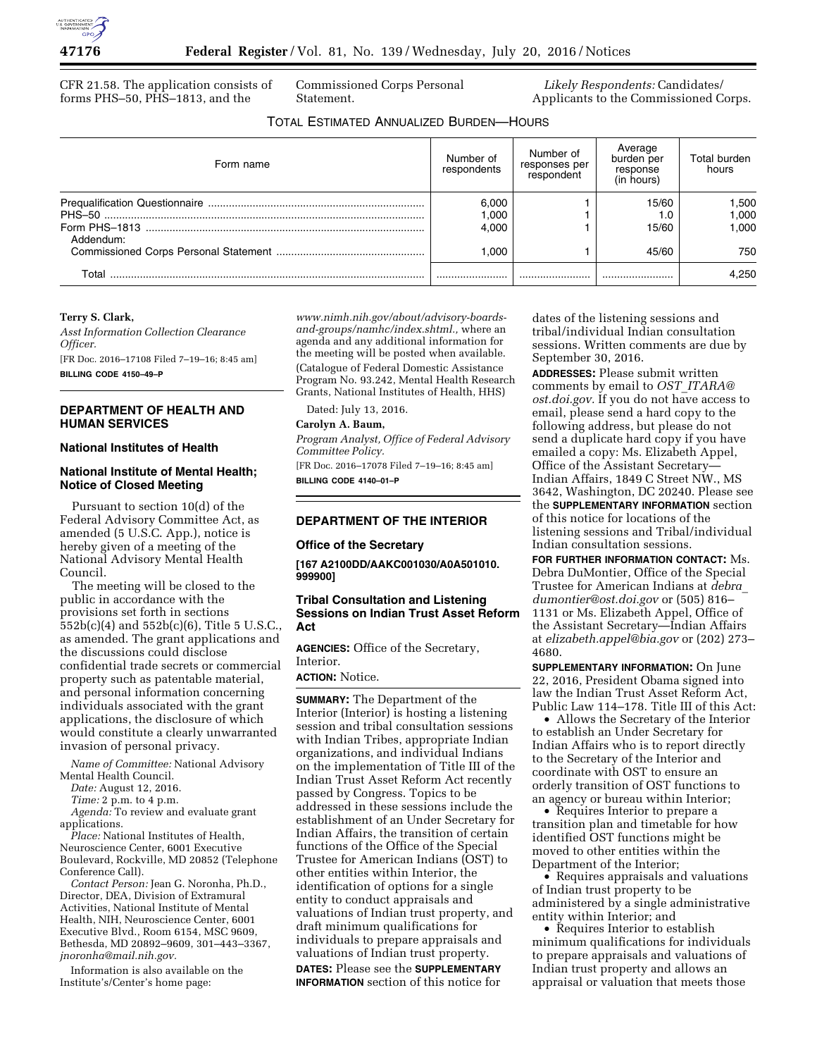CFR 21.58. The application consists of forms PHS–50, PHS–1813, and the

Commissioned Corps Personal Statement.

*Likely Respondents:* Candidates/ Applicants to the Commissioned Corps.

# TOTAL ESTIMATED ANNUALIZED BURDEN—HOURS

| Form name | Number of<br>respondents | Number of<br>responses per<br>respondent | Average<br>burden per<br>response<br>(in hours) | Total burden<br>hours   |
|-----------|--------------------------|------------------------------------------|-------------------------------------------------|-------------------------|
| Addendum: | 6.000<br>1.000<br>4.000  |                                          | 15/60<br>15/60                                  | 1.500<br>1.000<br>000.1 |
|           | 1.000                    |                                          | 45/60                                           | 750                     |
| T∩tal     |                          |                                          |                                                 | 4.250                   |

### **Terry S. Clark,**

*Asst Information Collection Clearance Officer.*  [FR Doc. 2016–17108 Filed 7–19–16; 8:45 am]

**BILLING CODE 4150–49–P** 

### **DEPARTMENT OF HEALTH AND HUMAN SERVICES**

#### **National Institutes of Health**

### **National Institute of Mental Health; Notice of Closed Meeting**

Pursuant to section 10(d) of the Federal Advisory Committee Act, as amended (5 U.S.C. App.), notice is hereby given of a meeting of the National Advisory Mental Health Council.

The meeting will be closed to the public in accordance with the provisions set forth in sections 552b(c)(4) and 552b(c)(6), Title 5 U.S.C., as amended. The grant applications and the discussions could disclose confidential trade secrets or commercial property such as patentable material, and personal information concerning individuals associated with the grant applications, the disclosure of which would constitute a clearly unwarranted invasion of personal privacy.

*Name of Committee:* National Advisory Mental Health Council.

*Date:* August 12, 2016.

*Time:* 2 p.m. to 4 p.m.

*Agenda:* To review and evaluate grant applications.

*Place:* National Institutes of Health, Neuroscience Center, 6001 Executive Boulevard, Rockville, MD 20852 (Telephone Conference Call).

*Contact Person:* Jean G. Noronha, Ph.D., Director, DEA, Division of Extramural Activities, National Institute of Mental Health, NIH, Neuroscience Center, 6001 Executive Blvd., Room 6154, MSC 9609, Bethesda, MD 20892–9609, 301–443–3367, *[jnoronha@mail.nih.gov.](mailto:jnoronha@mail.nih.gov)* 

Information is also available on the Institute's/Center's home page:

*[www.nimh.nih.gov/about/advisory-boards](http://www.nimh.nih.gov/about/advisory-boards-and-groups/namhc/index.shtml)[and-groups/namhc/index.shtml.,](http://www.nimh.nih.gov/about/advisory-boards-and-groups/namhc/index.shtml)* where an agenda and any additional information for the meeting will be posted when available. (Catalogue of Federal Domestic Assistance Program No. 93.242, Mental Health Research Grants, National Institutes of Health, HHS)

Dated: July 13, 2016.

## **Carolyn A. Baum,**

*Program Analyst, Office of Federal Advisory Committee Policy.* 

[FR Doc. 2016–17078 Filed 7–19–16; 8:45 am] **BILLING CODE 4140–01–P** 

## **DEPARTMENT OF THE INTERIOR**

#### **Office of the Secretary**

**[167 A2100DD/AAKC001030/A0A501010. 999900]** 

# **Tribal Consultation and Listening Sessions on Indian Trust Asset Reform Act**

**AGENCIES:** Office of the Secretary, Interior.

## **ACTION:** Notice.

**SUMMARY:** The Department of the Interior (Interior) is hosting a listening session and tribal consultation sessions with Indian Tribes, appropriate Indian organizations, and individual Indians on the implementation of Title III of the Indian Trust Asset Reform Act recently passed by Congress. Topics to be addressed in these sessions include the establishment of an Under Secretary for Indian Affairs, the transition of certain functions of the Office of the Special Trustee for American Indians (OST) to other entities within Interior, the identification of options for a single entity to conduct appraisals and valuations of Indian trust property, and draft minimum qualifications for individuals to prepare appraisals and valuations of Indian trust property.

**DATES:** Please see the **SUPPLEMENTARY INFORMATION** section of this notice for dates of the listening sessions and tribal/individual Indian consultation sessions. Written comments are due by September 30, 2016.

**ADDRESSES:** Please submit written comments by email to *OST*\_*[ITARA@](mailto:OST_ITARA@ost.doi.gov) [ost.doi.gov.](mailto:OST_ITARA@ost.doi.gov)* If you do not have access to email, please send a hard copy to the following address, but please do not send a duplicate hard copy if you have emailed a copy: Ms. Elizabeth Appel, Office of the Assistant Secretary— Indian Affairs, 1849 C Street NW., MS 3642, Washington, DC 20240. Please see the **SUPPLEMENTARY INFORMATION** section of this notice for locations of the listening sessions and Tribal/individual Indian consultation sessions.

**FOR FURTHER INFORMATION CONTACT:** Ms. Debra DuMontier, Office of the Special Trustee for American Indians at *[debra](mailto:debra_dumontier@ost.doi.gov)*\_ *[dumontier@ost.doi.gov](mailto:debra_dumontier@ost.doi.gov)* or (505) 816– 1131 or Ms. Elizabeth Appel, Office of the Assistant Secretary—Indian Affairs at *[elizabeth.appel@bia.gov](mailto:elizabeth.appel@bia.gov)* or (202) 273– 4680.

**SUPPLEMENTARY INFORMATION:** On June 22, 2016, President Obama signed into law the Indian Trust Asset Reform Act, Public Law 114–178. Title III of this Act:

• Allows the Secretary of the Interior to establish an Under Secretary for Indian Affairs who is to report directly to the Secretary of the Interior and coordinate with OST to ensure an orderly transition of OST functions to an agency or bureau within Interior;

• Requires Interior to prepare a transition plan and timetable for how identified OST functions might be moved to other entities within the Department of the Interior;

• Requires appraisals and valuations of Indian trust property to be administered by a single administrative entity within Interior; and

• Requires Interior to establish minimum qualifications for individuals to prepare appraisals and valuations of Indian trust property and allows an appraisal or valuation that meets those